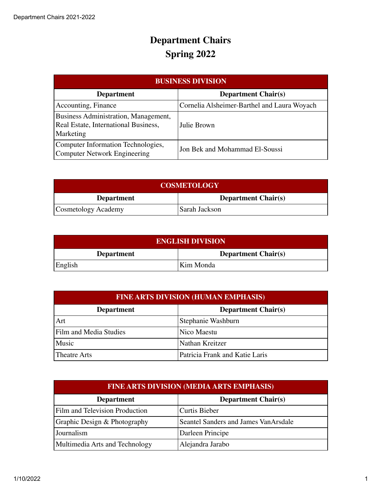| <b>BUSINESS DIVISION</b>                                                                  |                                             |
|-------------------------------------------------------------------------------------------|---------------------------------------------|
| <b>Department</b>                                                                         | <b>Department Chair(s)</b>                  |
| Accounting, Finance                                                                       | Cornelia Alsheimer-Barthel and Laura Woyach |
| Business Administration, Management,<br>Real Estate, International Business,<br>Marketing | Julie Brown                                 |
| Computer Information Technologies,<br><b>Computer Network Engineering</b>                 | Jon Bek and Mohammad El-Soussi              |

| <b>COSMETOLOGY</b>  |                            |
|---------------------|----------------------------|
| <b>Department</b>   | <b>Department Chair(s)</b> |
| Cosmetology Academy | Sarah Jackson              |

| <b>ENGLISH DIVISION</b> |                            |
|-------------------------|----------------------------|
| <b>Department</b>       | <b>Department Chair(s)</b> |
| English                 | Kim Monda                  |

| <b>FINE ARTS DIVISION (HUMAN EMPHASIS)</b> |                                |
|--------------------------------------------|--------------------------------|
| <b>Department</b>                          | <b>Department Chair(s)</b>     |
| Art                                        | Stephanie Washburn             |
| Film and Media Studies                     | Nico Maestu                    |
| Music                                      | Nathan Kreitzer                |
| <b>Theatre Arts</b>                        | Patricia Frank and Katie Laris |

| <b>FINE ARTS DIVISION (MEDIA ARTS EMPHASIS)</b> |                                       |
|-------------------------------------------------|---------------------------------------|
| <b>Department</b>                               | <b>Department Chair(s)</b>            |
| Film and Television Production                  | <b>Curtis Bieber</b>                  |
| Graphic Design & Photography                    | Seantel Sanders and James Van Arsdale |
| Journalism                                      | Darleen Principe                      |
| Multimedia Arts and Technology                  | Alejandra Jarabo                      |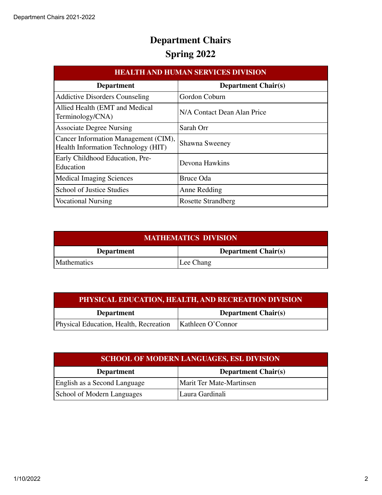| <b>HEALTH AND HUMAN SERVICES DIVISION</b>                                   |                             |
|-----------------------------------------------------------------------------|-----------------------------|
| <b>Department</b>                                                           | <b>Department Chair(s)</b>  |
| <b>Addictive Disorders Counseling</b>                                       | Gordon Coburn               |
| Allied Health (EMT and Medical<br>Terminology/CNA)                          | N/A Contact Dean Alan Price |
| <b>Associate Degree Nursing</b>                                             | Sarah Orr                   |
| Cancer Information Management (CIM),<br>Health Information Technology (HIT) | Shawna Sweeney              |
| Early Childhood Education, Pre-<br>Education                                | Devona Hawkins              |
| <b>Medical Imaging Sciences</b>                                             | Bruce Oda                   |
| School of Justice Studies                                                   | Anne Redding                |
| <b>Vocational Nursing</b>                                                   | <b>Rosette Strandberg</b>   |

| <b>MATHEMATICS DIVISION</b> |                            |
|-----------------------------|----------------------------|
| <b>Department</b>           | <b>Department Chair(s)</b> |
| Mathematics                 | Lee Chang                  |

| PHYSICAL EDUCATION, HEALTH, AND RECREATION DIVISION |                            |
|-----------------------------------------------------|----------------------------|
| <b>Department</b>                                   | <b>Department Chair(s)</b> |
| Physical Education, Health, Recreation              | Kathleen O'Connor          |

| <b>SCHOOL OF MODERN LANGUAGES, ESL DIVISION</b> |                                 |
|-------------------------------------------------|---------------------------------|
| <b>Department</b>                               | <b>Department Chair(s)</b>      |
| English as a Second Language                    | <b>Marit Ter Mate-Martinsen</b> |
| School of Modern Languages                      | Laura Gardinali                 |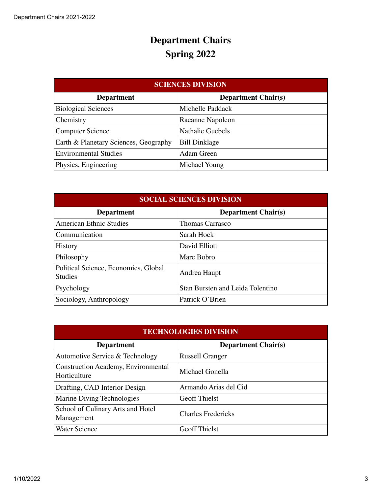| <b>SCIENCES DIVISION</b>              |                            |
|---------------------------------------|----------------------------|
| <b>Department</b>                     | <b>Department Chair(s)</b> |
| <b>Biological Sciences</b>            | Michelle Paddack           |
| Chemistry                             | Raeanne Napoleon           |
| <b>Computer Science</b>               | <b>Nathalie Guebels</b>    |
| Earth & Planetary Sciences, Geography | <b>Bill Dinklage</b>       |
| <b>Environmental Studies</b>          | Adam Green                 |
| Physics, Engineering                  | Michael Young              |

| <b>SOCIAL SCIENCES DIVISION</b>                        |                                         |
|--------------------------------------------------------|-----------------------------------------|
| <b>Department</b>                                      | <b>Department Chair(s)</b>              |
| <b>American Ethnic Studies</b>                         | <b>Thomas Carrasco</b>                  |
| Communication                                          | Sarah Hock                              |
| <b>History</b>                                         | David Elliott                           |
| Philosophy                                             | Marc Bobro                              |
| Political Science, Economics, Global<br><b>Studies</b> | Andrea Haupt                            |
| Psychology                                             | <b>Stan Bursten and Leida Tolentino</b> |
| Sociology, Anthropology                                | Patrick O'Brien                         |

| <b>TECHNOLOGIES DIVISION</b>                        |                            |
|-----------------------------------------------------|----------------------------|
| <b>Department</b>                                   | <b>Department Chair(s)</b> |
| Automotive Service & Technology                     | <b>Russell Granger</b>     |
| Construction Academy, Environmental<br>Horticulture | Michael Gonella            |
| Drafting, CAD Interior Design                       | Armando Arias del Cid      |
| Marine Diving Technologies                          | <b>Geoff Thielst</b>       |
| School of Culinary Arts and Hotel<br>Management     | <b>Charles Fredericks</b>  |
| <b>Water Science</b>                                | <b>Geoff Thielst</b>       |